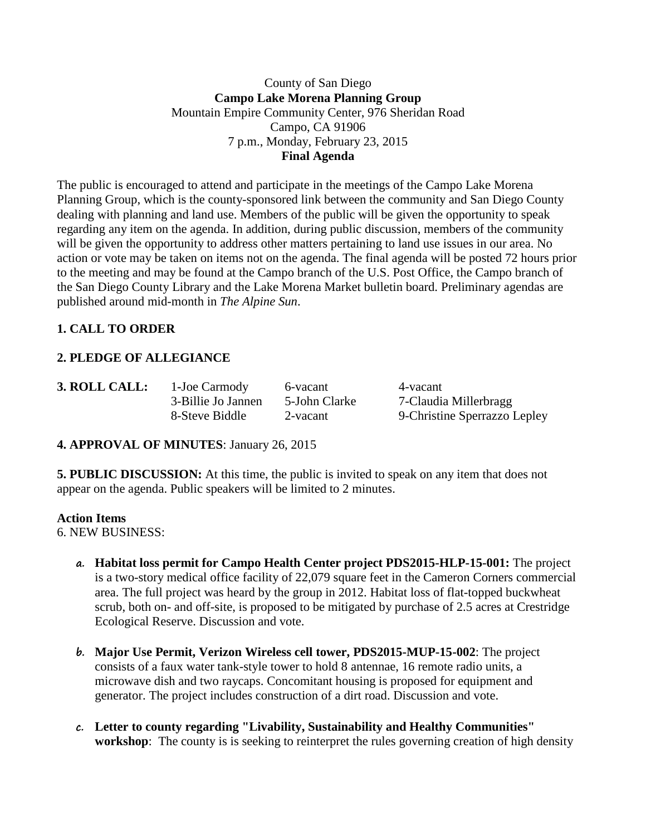### County of San Diego **Campo Lake Morena Planning Group** Mountain Empire Community Center, 976 Sheridan Road Campo, CA 91906 7 p.m., Monday, February 23, 2015 **Final Agenda**

The public is encouraged to attend and participate in the meetings of the Campo Lake Morena Planning Group, which is the county-sponsored link between the community and San Diego County dealing with planning and land use. Members of the public will be given the opportunity to speak regarding any item on the agenda. In addition, during public discussion, members of the community will be given the opportunity to address other matters pertaining to land use issues in our area. No action or vote may be taken on items not on the agenda. The final agenda will be posted 72 hours prior to the meeting and may be found at the Campo branch of the U.S. Post Office, the Campo branch of the San Diego County Library and the Lake Morena Market bulletin board. Preliminary agendas are published around mid-month in *The Alpine Sun*.

## **1. CALL TO ORDER**

## **2. PLEDGE OF ALLEGIANCE**

| <b>3. ROLL CAL</b> |  |  |
|--------------------|--|--|
|                    |  |  |
|                    |  |  |

**1. 1-Joe Carmody** 6-vacant 4-vacant

3-Billie Jo Jannen 5-John Clarke 7-Claudia Millerbragg 8-Steve Biddle 2-vacant 9-Christine Sperrazzo Lepley

## **4. APPROVAL OF MINUTES**: January 26, 2015

**5. PUBLIC DISCUSSION:** At this time, the public is invited to speak on any item that does not appear on the agenda. Public speakers will be limited to 2 minutes.

### **Action Items**

6. NEW BUSINESS:

- **a. Habitat loss permit for Campo Health Center project PDS2015-HLP-15-001:** The project is a two-story medical office facility of 22,079 square feet in the Cameron Corners commercial area. The full project was heard by the group in 2012. Habitat loss of flat-topped buckwheat scrub, both on- and off-site, is proposed to be mitigated by purchase of 2.5 acres at Crestridge Ecological Reserve. Discussion and vote.
- **b. Major Use Permit, Verizon Wireless cell tower, PDS2015-MUP-15-002**: The project consists of a faux water tank-style tower to hold 8 antennae, 16 remote radio units, a microwave dish and two raycaps. Concomitant housing is proposed for equipment and generator. The project includes construction of a dirt road. Discussion and vote.
- **c. Letter to county regarding "Livability, Sustainability and Healthy Communities" workshop**: The county is is seeking to reinterpret the rules governing creation of high density